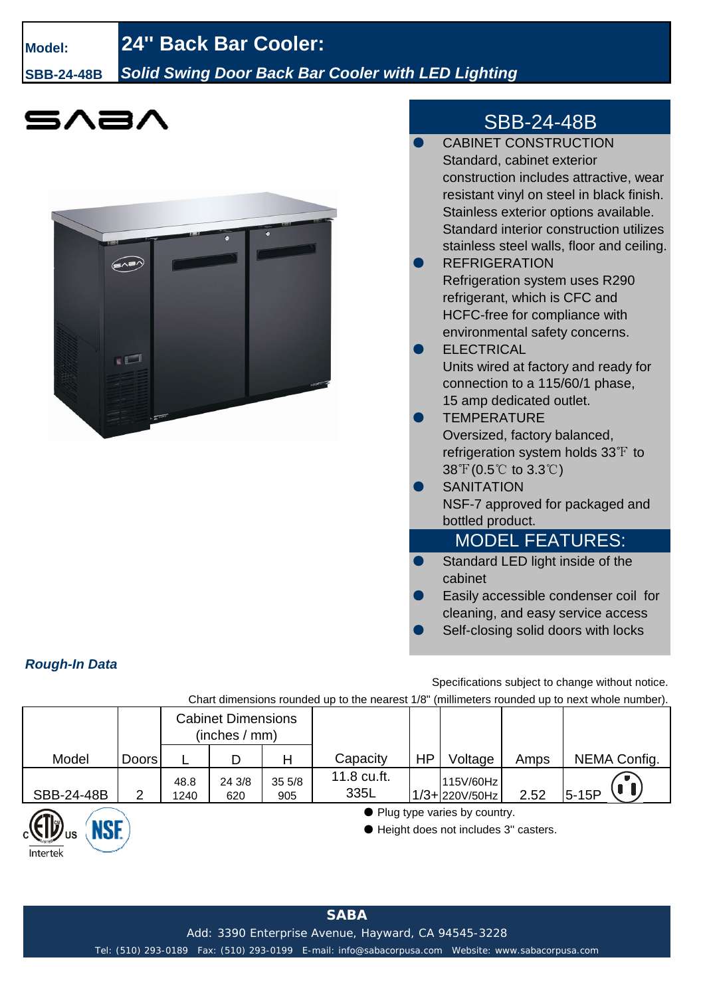## **Model: 24'' Back Bar Cooler:**

**SBB-24-48B** *Solid Swing Door Back Bar Cooler with LED Lighting*





## SBB-24-48B

| <b>CABINET CONSTRUCTION</b>                                                                      |
|--------------------------------------------------------------------------------------------------|
| Standard, cabinet exterior                                                                       |
| construction includes attractive, wear                                                           |
| resistant vinyl on steel in black finish.                                                        |
| Stainless exterior options available.                                                            |
| Standard interior construction utilizes                                                          |
| stainless steel walls, floor and ceiling.                                                        |
| <b>REFRIGERATION</b>                                                                             |
| <b>Refrigeration system uses R290</b>                                                            |
| refrigerant, which is CFC and                                                                    |
| HCFC-free for compliance with                                                                    |
| environmental safety concerns.                                                                   |
| <b>ELECTRICAL</b>                                                                                |
| Units wired at factory and ready for                                                             |
| connection to a 115/60/1 phase,                                                                  |
| 15 amp dedicated outlet.                                                                         |
| <b>TEMPERATURE</b>                                                                               |
| Oversized, factory balanced,                                                                     |
| refrigeration system holds 33 $F$ to                                                             |
| $38\text{ }^{\circ}\text{F}$ (0.5 $\text{ }^{\circ}\text{C}$ to 3.3 $\text{ }^{\circ}\text{C}$ ) |
| <b>SANITATION</b>                                                                                |
| NSF-7 approved for packaged and                                                                  |
| bottled product.                                                                                 |
| <b>MODEL FEATURES:</b>                                                                           |
| Standard LED light inside of the                                                                 |
| cabinet                                                                                          |
| Easily accessible condenser coil for                                                             |
| cleaning, and easy service access                                                                |

Self-closing solid doors with locks

*Rough-In Data*

Intertek

Specifications subject to change without notice.

Chart dimensions rounded up to the nearest 1/8" (millimeters rounded up to next whole number).

|            |              | <b>Cabinet Dimensions</b><br>(inches / mm) |               |              |                     |                                                                          |                                |      |              |
|------------|--------------|--------------------------------------------|---------------|--------------|---------------------|--------------------------------------------------------------------------|--------------------------------|------|--------------|
| Model      | <b>Doors</b> |                                            | D             | Н            | Capacity            | <b>HP</b>                                                                | Voltage                        | Amps | NEMA Config. |
| SBB-24-48B | 2            | 48.8<br>1240                               | 24 3/8<br>620 | 355/8<br>905 | 11.8 cu.ft.<br>335L |                                                                          | 115V/60Hz<br>$1/3 + 220V/50Hz$ | 2.52 | $5-15P$      |
| <b>NSE</b> |              |                                            |               |              |                     | • Plug type varies by country.<br>● Height does not includes 3" casters. |                                |      |              |

Tel: (510) 293-0189 Fax: (510) 293-0199 E-mail: info@sabacorpusa.com Website: www.sabacorpusa.com